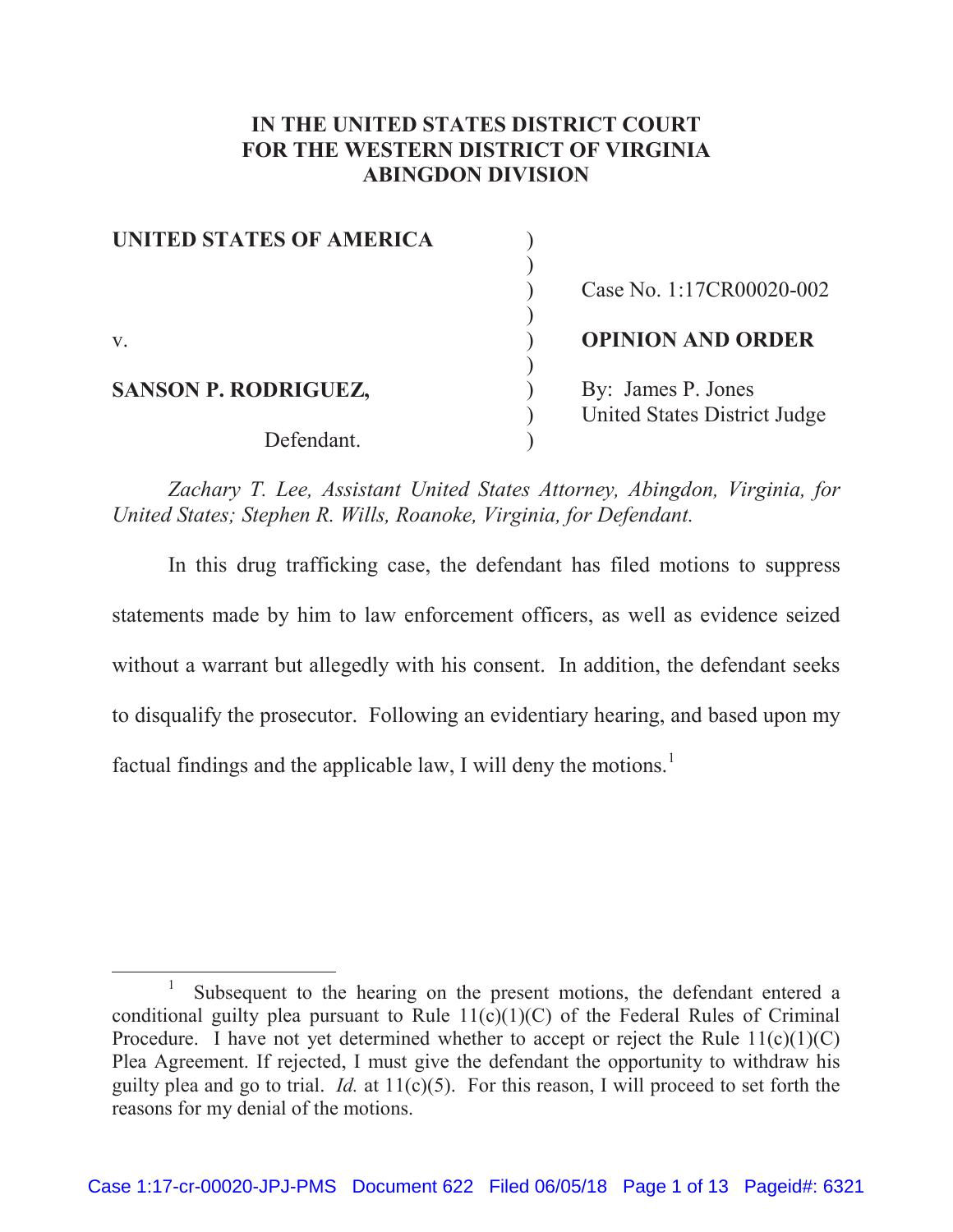# **IN THE UNITED STATES DISTRICT COURT FOR THE WESTERN DISTRICT OF VIRGINIA ABINGDON DIVISION**

| <b>UNITED STATES OF AMERICA</b> |                              |
|---------------------------------|------------------------------|
|                                 |                              |
|                                 | Case No. 1:17CR00020-002     |
|                                 |                              |
| $V_{\cdot}$                     | <b>OPINION AND ORDER</b>     |
|                                 |                              |
| <b>SANSON P. RODRIGUEZ,</b>     | By: James P. Jones           |
|                                 | United States District Judge |
| Defendant.                      |                              |

 *Zachary T. Lee, Assistant United States Attorney, Abingdon, Virginia, for United States; Stephen R. Wills, Roanoke, Virginia, for Defendant.*

In this drug trafficking case, the defendant has filed motions to suppress statements made by him to law enforcement officers, as well as evidence seized without a warrant but allegedly with his consent. In addition, the defendant seeks to disqualify the prosecutor. Following an evidentiary hearing, and based upon my factual findings and the applicable law, I will deny the motions.<sup>1</sup>

<sup>&</sup>lt;u>1</u> Subsequent to the hearing on the present motions, the defendant entered a conditional guilty plea pursuant to Rule  $11(c)(1)(C)$  of the Federal Rules of Criminal Procedure. I have not yet determined whether to accept or reject the Rule  $11(c)(1)(C)$ Plea Agreement. If rejected, I must give the defendant the opportunity to withdraw his guilty plea and go to trial. *Id.* at 11(c)(5). For this reason, I will proceed to set forth the reasons for my denial of the motions.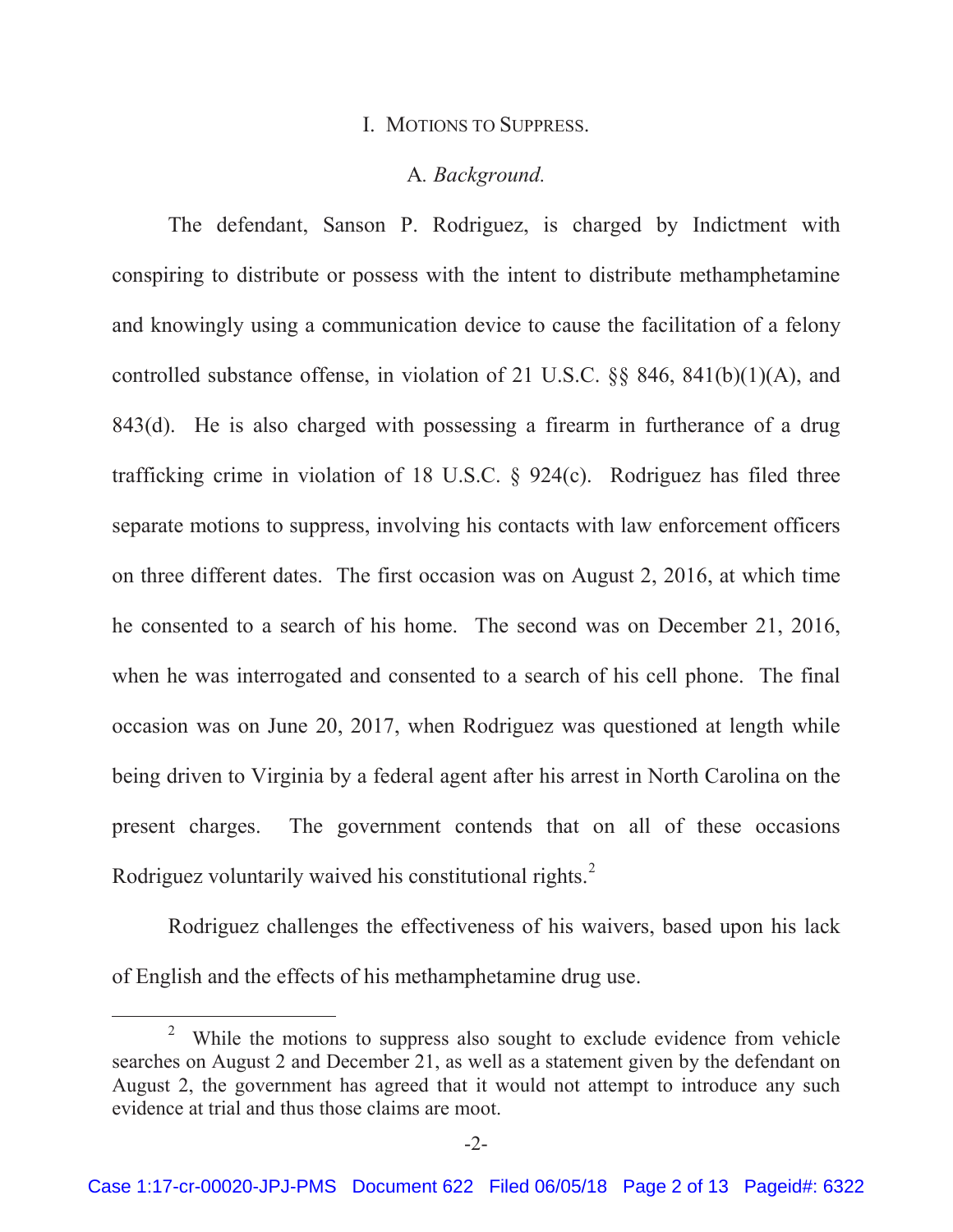#### I. MOTIONS TO SUPPRESS.

### A*. Background.*

The defendant, Sanson P. Rodriguez, is charged by Indictment with conspiring to distribute or possess with the intent to distribute methamphetamine and knowingly using a communication device to cause the facilitation of a felony controlled substance offense, in violation of 21 U.S.C. §§ 846, 841(b)(1)(A), and 843(d). He is also charged with possessing a firearm in furtherance of a drug trafficking crime in violation of 18 U.S.C. § 924(c). Rodriguez has filed three separate motions to suppress, involving his contacts with law enforcement officers on three different dates. The first occasion was on August 2, 2016, at which time he consented to a search of his home. The second was on December 21, 2016, when he was interrogated and consented to a search of his cell phone. The final occasion was on June 20, 2017, when Rodriguez was questioned at length while being driven to Virginia by a federal agent after his arrest in North Carolina on the present charges. The government contends that on all of these occasions Rodriguez voluntarily waived his constitutional rights.<sup>2</sup>

Rodriguez challenges the effectiveness of his waivers, based upon his lack of English and the effects of his methamphetamine drug use.

<sup>2</sup> <sup>2</sup> While the motions to suppress also sought to exclude evidence from vehicle searches on August 2 and December 21, as well as a statement given by the defendant on August 2, the government has agreed that it would not attempt to introduce any such evidence at trial and thus those claims are moot.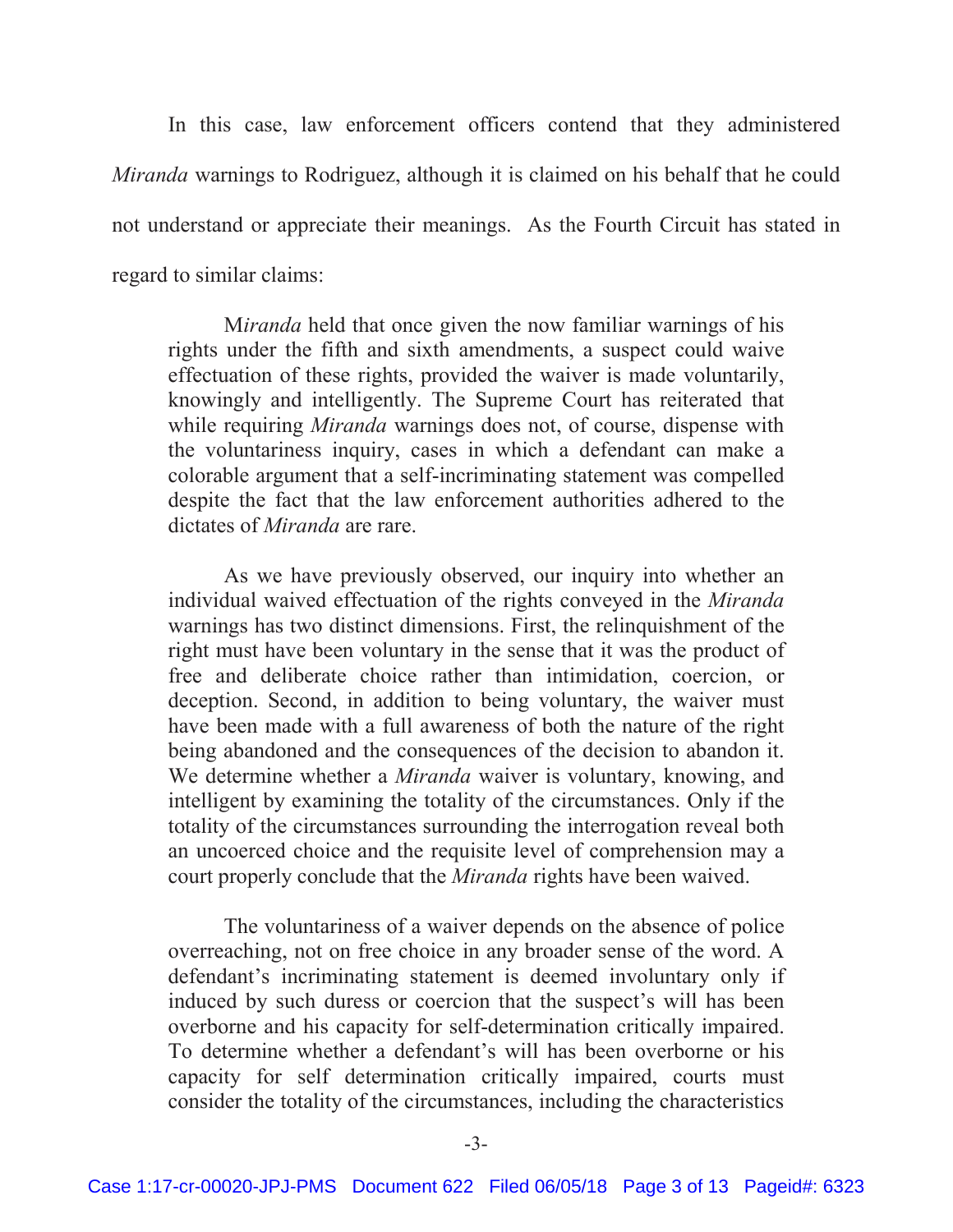In this case, law enforcement officers contend that they administered *Miranda* warnings to Rodriguez, although it is claimed on his behalf that he could not understand or appreciate their meanings. As the Fourth Circuit has stated in regard to similar claims:

M*iranda* held that once given the now familiar warnings of his rights under the fifth and sixth amendments, a suspect could waive effectuation of these rights, provided the waiver is made voluntarily, knowingly and intelligently. The Supreme Court has reiterated that while requiring *Miranda* warnings does not, of course, dispense with the voluntariness inquiry, cases in which a defendant can make a colorable argument that a self-incriminating statement was compelled despite the fact that the law enforcement authorities adhered to the dictates of *Miranda* are rare.

 As we have previously observed, our inquiry into whether an individual waived effectuation of the rights conveyed in the *Miranda* warnings has two distinct dimensions. First, the relinquishment of the right must have been voluntary in the sense that it was the product of free and deliberate choice rather than intimidation, coercion, or deception. Second, in addition to being voluntary, the waiver must have been made with a full awareness of both the nature of the right being abandoned and the consequences of the decision to abandon it. We determine whether a *Miranda* waiver is voluntary, knowing, and intelligent by examining the totality of the circumstances. Only if the totality of the circumstances surrounding the interrogation reveal both an uncoerced choice and the requisite level of comprehension may a court properly conclude that the *Miranda* rights have been waived.

 The voluntariness of a waiver depends on the absence of police overreaching, not on free choice in any broader sense of the word. A defendant's incriminating statement is deemed involuntary only if induced by such duress or coercion that the suspect's will has been overborne and his capacity for self-determination critically impaired. To determine whether a defendant's will has been overborne or his capacity for self determination critically impaired, courts must consider the totality of the circumstances, including the characteristics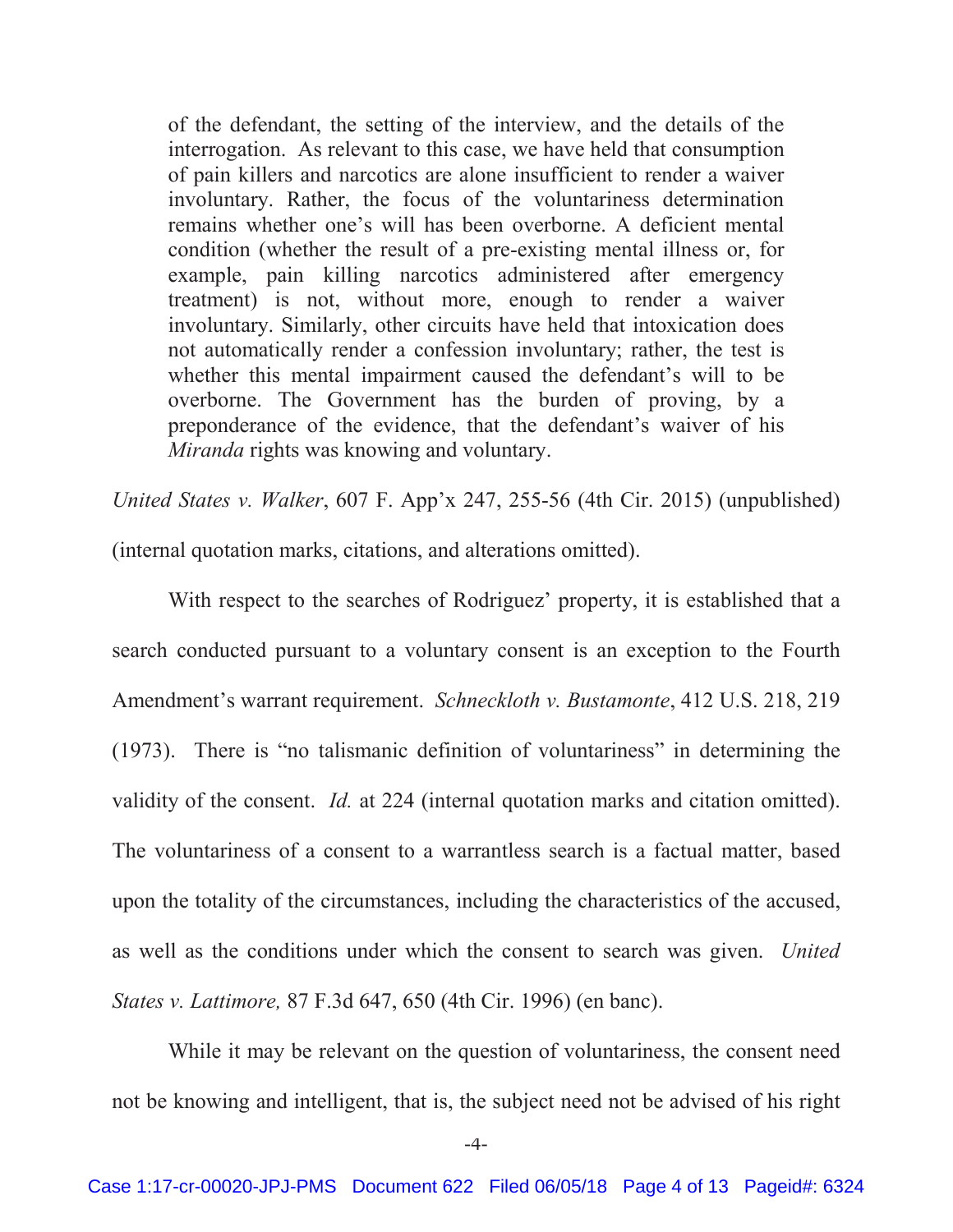of the defendant, the setting of the interview, and the details of the interrogation. As relevant to this case, we have held that consumption of pain killers and narcotics are alone insufficient to render a waiver involuntary. Rather, the focus of the voluntariness determination remains whether one's will has been overborne. A deficient mental condition (whether the result of a pre-existing mental illness or, for example, pain killing narcotics administered after emergency treatment) is not, without more, enough to render a waiver involuntary. Similarly, other circuits have held that intoxication does not automatically render a confession involuntary; rather, the test is whether this mental impairment caused the defendant's will to be overborne. The Government has the burden of proving, by a preponderance of the evidence, that the defendant's waiver of his *Miranda* rights was knowing and voluntary.

*United States v. Walker*, 607 F. App'x 247, 255-56 (4th Cir. 2015) (unpublished) (internal quotation marks, citations, and alterations omitted).

 With respect to the searches of Rodriguez' property, it is established that a search conducted pursuant to a voluntary consent is an exception to the Fourth Amendment's warrant requirement. *Schneckloth v. Bustamonte*, 412 U.S. 218, 219 (1973). There is "no talismanic definition of voluntariness" in determining the validity of the consent. *Id.* at 224 (internal quotation marks and citation omitted). The voluntariness of a consent to a warrantless search is a factual matter, based upon the totality of the circumstances, including the characteristics of the accused, as well as the conditions under which the consent to search was given. *United States v. Lattimore,* 87 F.3d 647, 650 (4th Cir. 1996) (en banc).

While it may be relevant on the question of voluntariness, the consent need not be knowing and intelligent, that is, the subject need not be advised of his right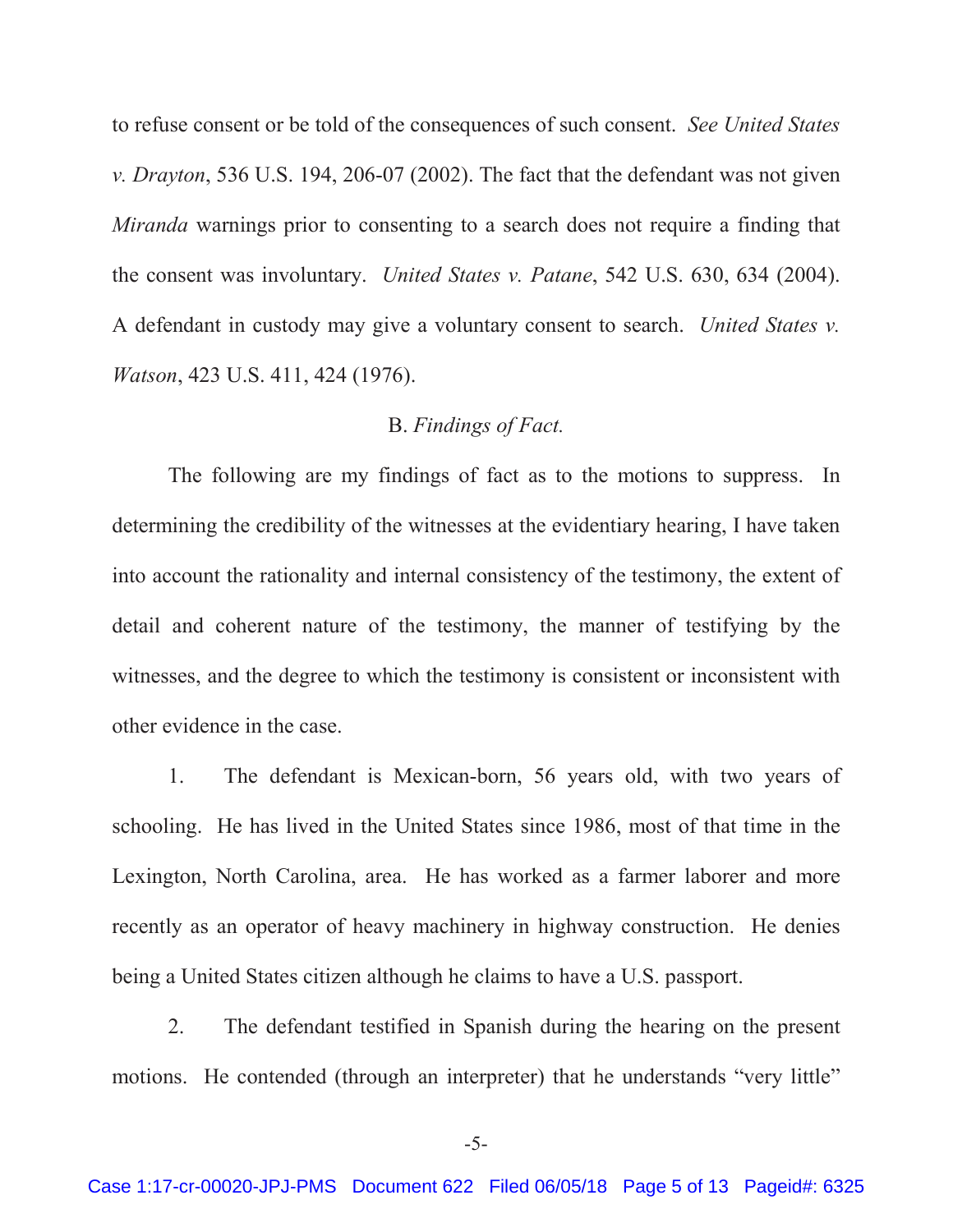to refuse consent or be told of the consequences of such consent. *See United States v. Drayton*, 536 U.S. 194, 206-07 (2002). The fact that the defendant was not given *Miranda* warnings prior to consenting to a search does not require a finding that the consent was involuntary. *United States v. Patane*, 542 U.S. 630, 634 (2004). A defendant in custody may give a voluntary consent to search. *United States v. Watson*, 423 U.S. 411, 424 (1976).

### B. *Findings of Fact.*

The following are my findings of fact as to the motions to suppress. In determining the credibility of the witnesses at the evidentiary hearing, I have taken into account the rationality and internal consistency of the testimony, the extent of detail and coherent nature of the testimony, the manner of testifying by the witnesses, and the degree to which the testimony is consistent or inconsistent with other evidence in the case.

1. The defendant is Mexican-born, 56 years old, with two years of schooling. He has lived in the United States since 1986, most of that time in the Lexington, North Carolina, area. He has worked as a farmer laborer and more recently as an operator of heavy machinery in highway construction. He denies being a United States citizen although he claims to have a U.S. passport.

2. The defendant testified in Spanish during the hearing on the present motions. He contended (through an interpreter) that he understands "very little"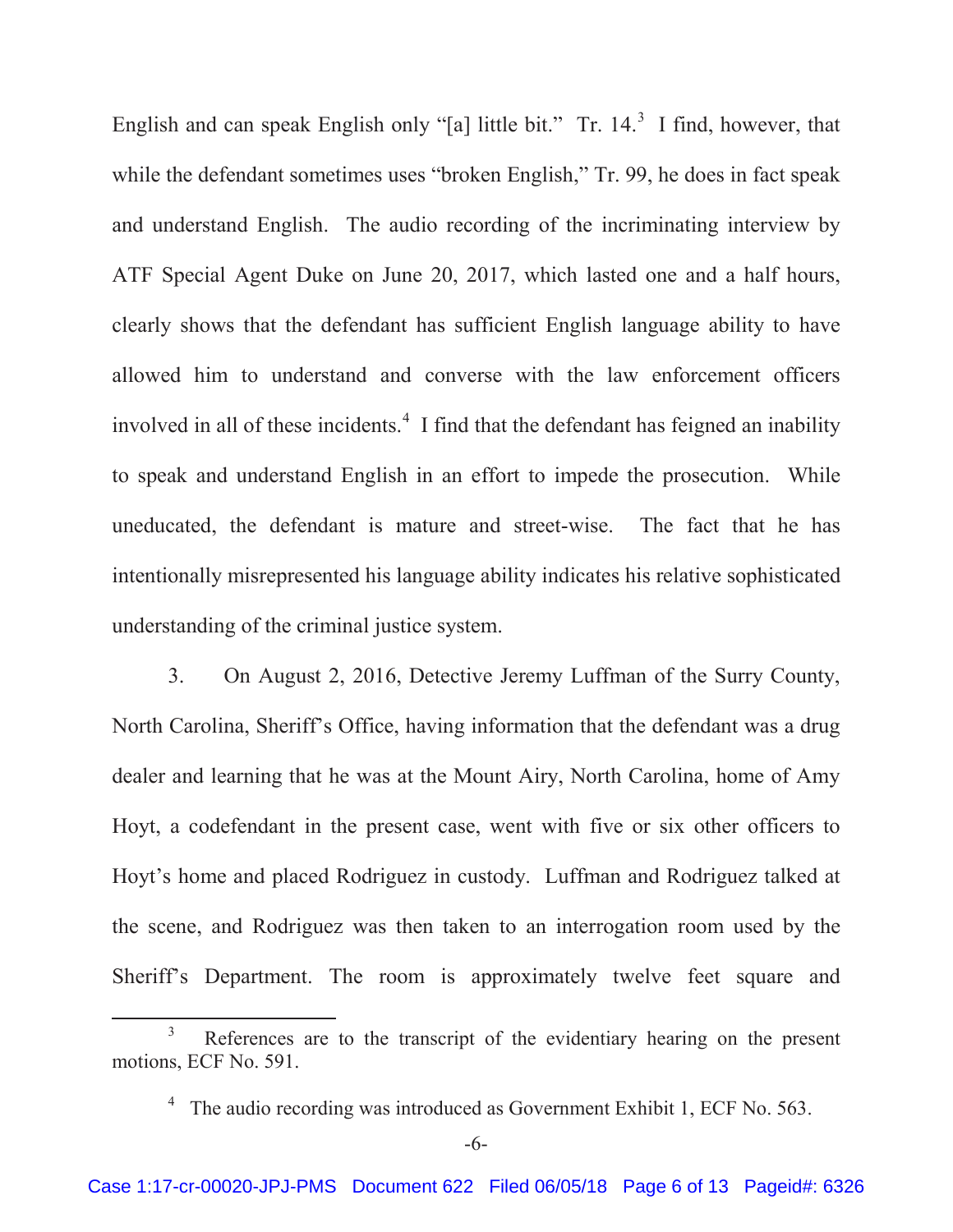English and can speak English only "[a] little bit." Tr.  $14<sup>3</sup>$  I find, however, that while the defendant sometimes uses "broken English," Tr. 99, he does in fact speak and understand English. The audio recording of the incriminating interview by ATF Special Agent Duke on June 20, 2017, which lasted one and a half hours, clearly shows that the defendant has sufficient English language ability to have allowed him to understand and converse with the law enforcement officers involved in all of these incidents.<sup>4</sup> I find that the defendant has feigned an inability to speak and understand English in an effort to impede the prosecution. While uneducated, the defendant is mature and street-wise. The fact that he has intentionally misrepresented his language ability indicates his relative sophisticated understanding of the criminal justice system.

3. On August 2, 2016, Detective Jeremy Luffman of the Surry County, North Carolina, Sheriff's Office, having information that the defendant was a drug dealer and learning that he was at the Mount Airy, North Carolina, home of Amy Hoyt, a codefendant in the present case, went with five or six other officers to Hoyt's home and placed Rodriguez in custody. Luffman and Rodriguez talked at the scene, and Rodriguez was then taken to an interrogation room used by the Sheriff's Department. The room is approximately twelve feet square and

 $\frac{1}{3}$ <sup>3</sup> References are to the transcript of the evidentiary hearing on the present motions, ECF No. 591.

<sup>&</sup>lt;sup>4</sup> The audio recording was introduced as Government Exhibit 1, ECF No. 563.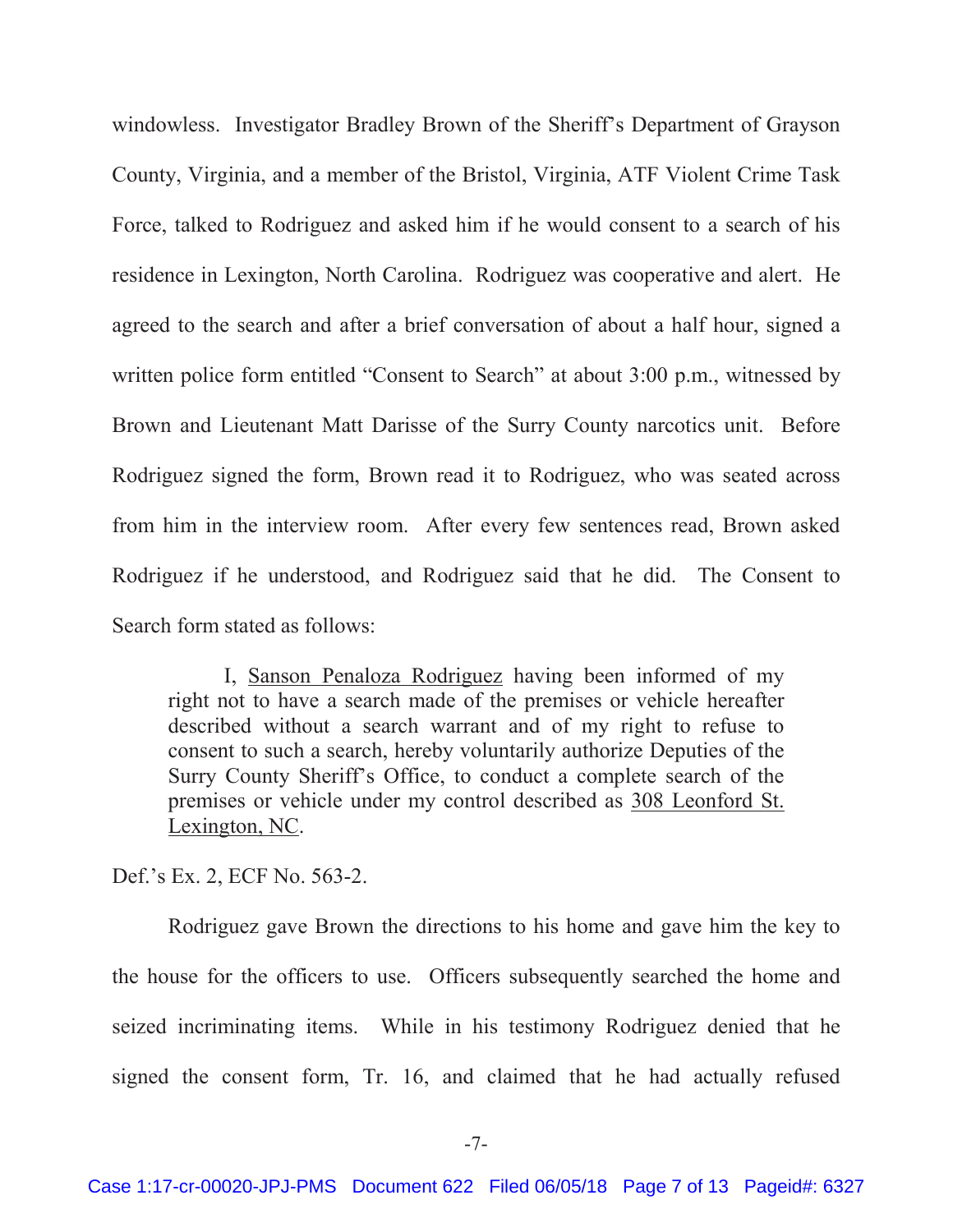windowless. Investigator Bradley Brown of the Sheriff's Department of Grayson County, Virginia, and a member of the Bristol, Virginia, ATF Violent Crime Task Force, talked to Rodriguez and asked him if he would consent to a search of his residence in Lexington, North Carolina. Rodriguez was cooperative and alert. He agreed to the search and after a brief conversation of about a half hour, signed a written police form entitled "Consent to Search" at about 3:00 p.m., witnessed by Brown and Lieutenant Matt Darisse of the Surry County narcotics unit. Before Rodriguez signed the form, Brown read it to Rodriguez, who was seated across from him in the interview room. After every few sentences read, Brown asked Rodriguez if he understood, and Rodriguez said that he did. The Consent to Search form stated as follows:

I, Sanson Penaloza Rodriguez having been informed of my right not to have a search made of the premises or vehicle hereafter described without a search warrant and of my right to refuse to consent to such a search, hereby voluntarily authorize Deputies of the Surry County Sheriff's Office, to conduct a complete search of the premises or vehicle under my control described as 308 Leonford St. Lexington, NC.

Def.'s Ex. 2, ECF No. 563-2.

Rodriguez gave Brown the directions to his home and gave him the key to the house for the officers to use. Officers subsequently searched the home and seized incriminating items. While in his testimony Rodriguez denied that he signed the consent form, Tr. 16, and claimed that he had actually refused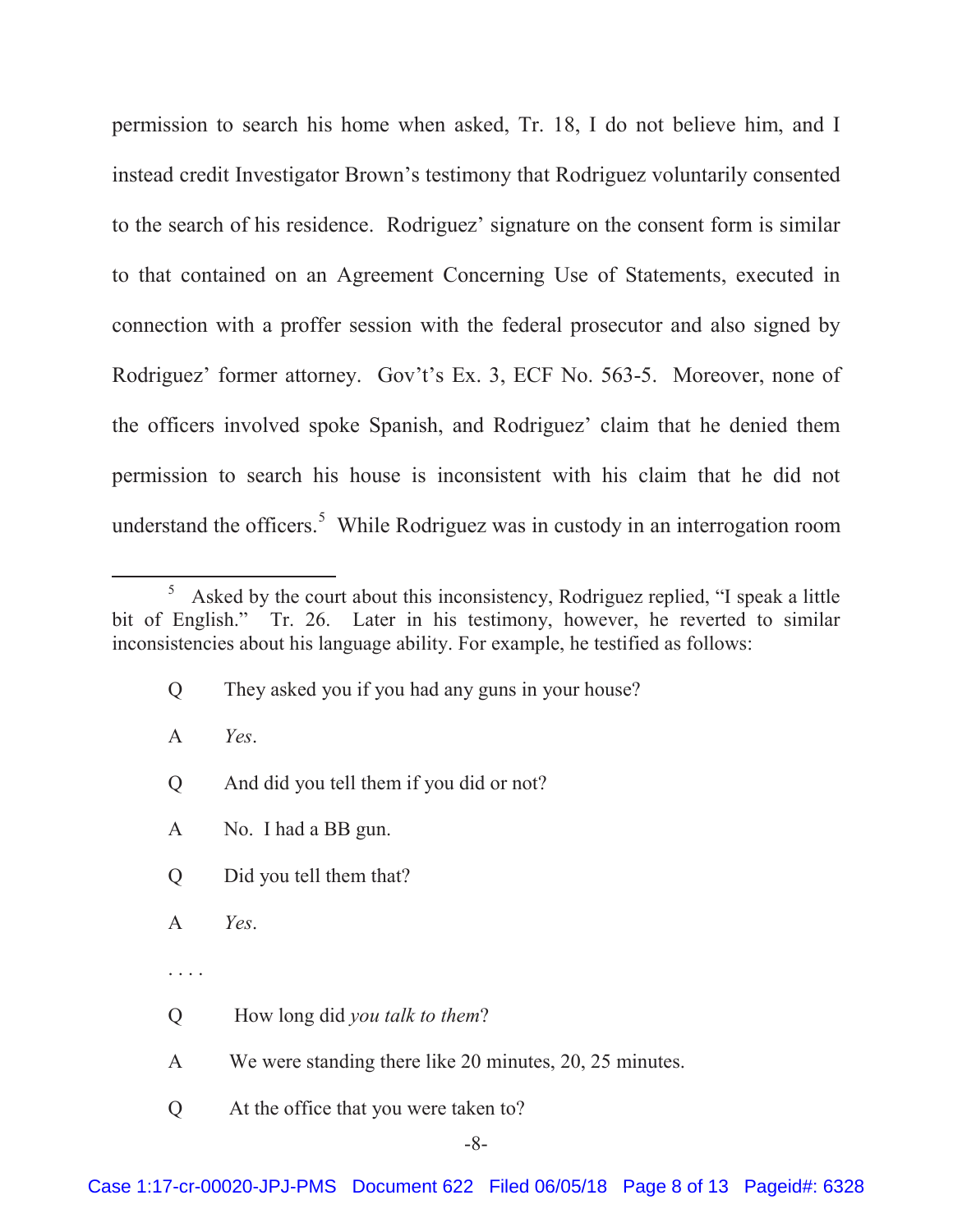permission to search his home when asked, Tr. 18, I do not believe him, and I instead credit Investigator Brown's testimony that Rodriguez voluntarily consented to the search of his residence. Rodriguez' signature on the consent form is similar to that contained on an Agreement Concerning Use of Statements, executed in connection with a proffer session with the federal prosecutor and also signed by Rodriguez' former attorney. Gov't's Ex. 3, ECF No. 563-5. Moreover, none of the officers involved spoke Spanish, and Rodriguez' claim that he denied them permission to search his house is inconsistent with his claim that he did not understand the officers.<sup>5</sup> While Rodriguez was in custody in an interrogation room

- A *Yes*.
- Q And did you tell them if you did or not?
- A No. I had a BB gun.
- Q Did you tell them that?
- A *Yes*.
- . . . .
- Q How long did *you talk to them*?
- A We were standing there like 20 minutes, 20, 25 minutes.
- Q At the office that you were taken to?

 $rac{1}{5}$  Asked by the court about this inconsistency, Rodriguez replied, "I speak a little bit of English." Tr. 26. Later in his testimony, however, he reverted to similar inconsistencies about his language ability. For example, he testified as follows:

Q They asked you if you had any guns in your house?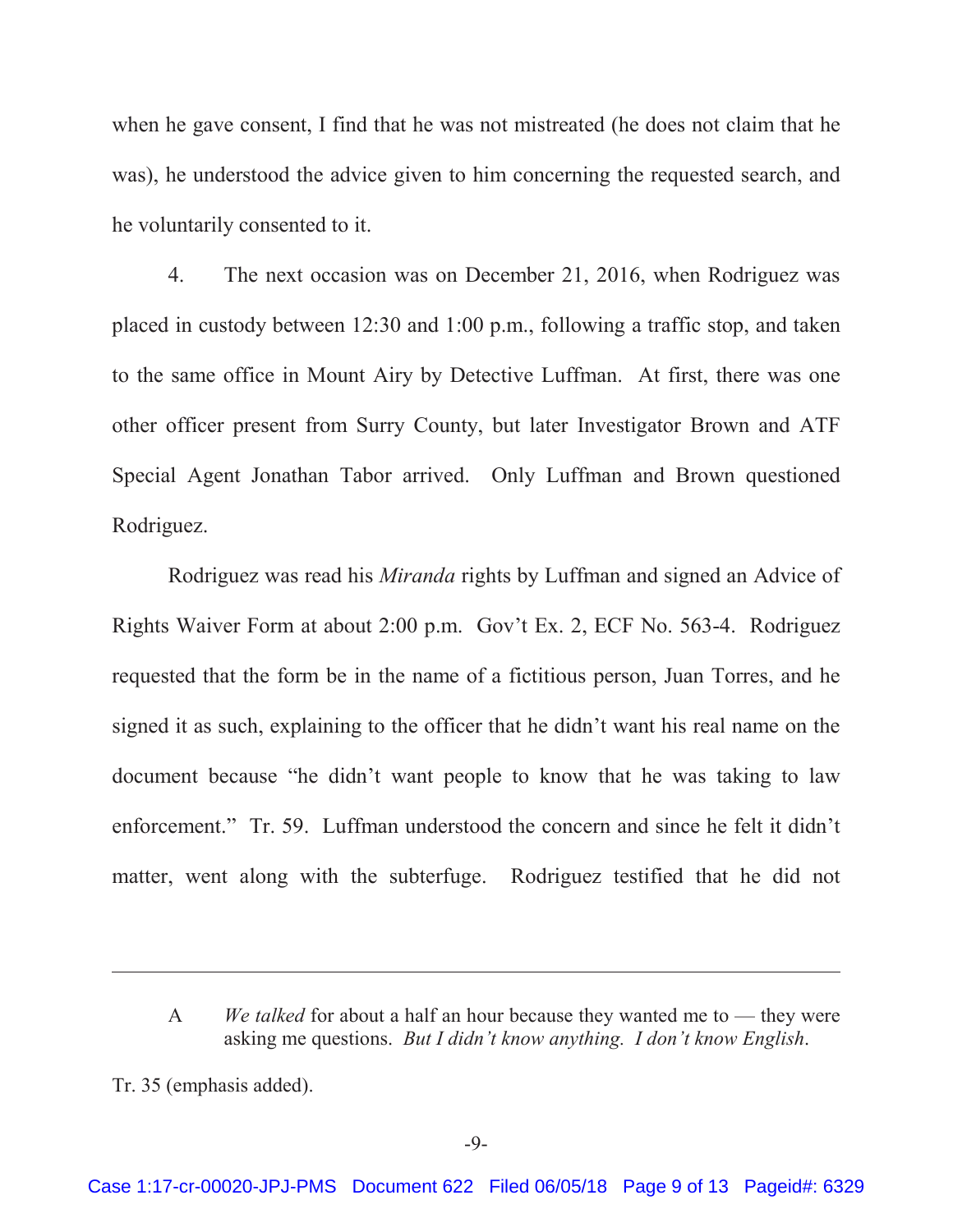when he gave consent, I find that he was not mistreated (he does not claim that he was), he understood the advice given to him concerning the requested search, and he voluntarily consented to it.

4. The next occasion was on December 21, 2016, when Rodriguez was placed in custody between 12:30 and 1:00 p.m., following a traffic stop, and taken to the same office in Mount Airy by Detective Luffman. At first, there was one other officer present from Surry County, but later Investigator Brown and ATF Special Agent Jonathan Tabor arrived. Only Luffman and Brown questioned Rodriguez.

Rodriguez was read his *Miranda* rights by Luffman and signed an Advice of Rights Waiver Form at about 2:00 p.m. Gov't Ex. 2, ECF No. 563-4. Rodriguez requested that the form be in the name of a fictitious person, Juan Torres, and he signed it as such, explaining to the officer that he didn't want his real name on the document because "he didn't want people to know that he was taking to law enforcement." Tr. 59. Luffman understood the concern and since he felt it didn't matter, went along with the subterfuge. Rodriguez testified that he did not

 $\overline{a}$ 

A *We talked* for about a half an hour because they wanted me to — they were asking me questions. *But I didn't know anything. I don't know English*.

Tr. 35 (emphasis added).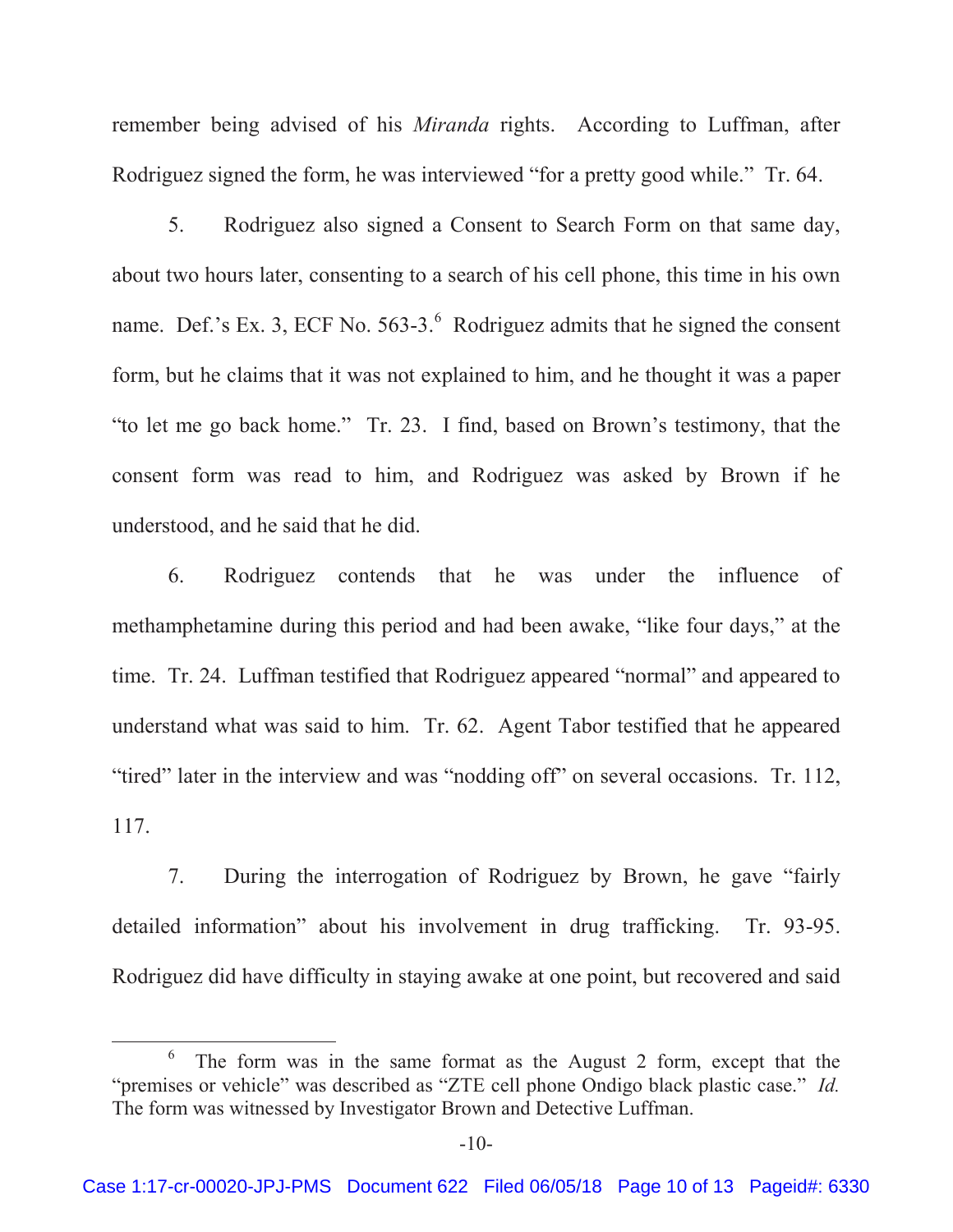remember being advised of his *Miranda* rights. According to Luffman, after Rodriguez signed the form, he was interviewed "for a pretty good while." Tr. 64.

5. Rodriguez also signed a Consent to Search Form on that same day, about two hours later, consenting to a search of his cell phone, this time in his own name. Def.'s Ex. 3, ECF No.  $563-3.^6$  Rodriguez admits that he signed the consent form, but he claims that it was not explained to him, and he thought it was a paper "to let me go back home." Tr. 23. I find, based on Brown's testimony, that the consent form was read to him, and Rodriguez was asked by Brown if he understood, and he said that he did.

6. Rodriguez contends that he was under the influence of methamphetamine during this period and had been awake, "like four days," at the time. Tr. 24. Luffman testified that Rodriguez appeared "normal" and appeared to understand what was said to him. Tr. 62. Agent Tabor testified that he appeared "tired" later in the interview and was "nodding off" on several occasions. Tr. 112, 117.

7. During the interrogation of Rodriguez by Brown, he gave "fairly detailed information" about his involvement in drug trafficking. Tr. 93-95. Rodriguez did have difficulty in staying awake at one point, but recovered and said

<sup>6</sup>  $6\degree$  The form was in the same format as the August 2 form, except that the "premises or vehicle" was described as "ZTE cell phone Ondigo black plastic case." *Id.*  The form was witnessed by Investigator Brown and Detective Luffman.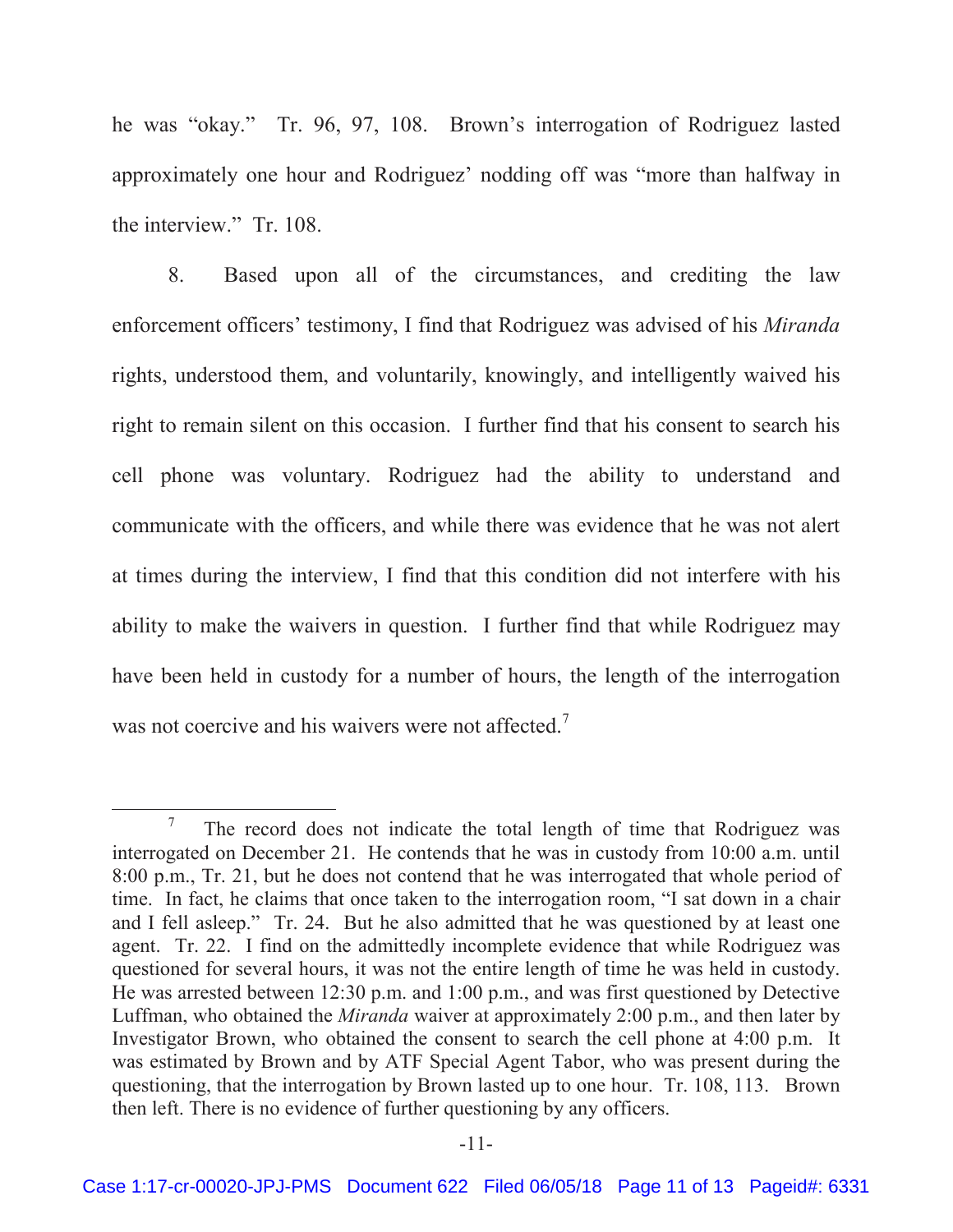he was "okay." Tr. 96, 97, 108. Brown's interrogation of Rodriguez lasted approximately one hour and Rodriguez' nodding off was "more than halfway in the interview." Tr. 108.

8. Based upon all of the circumstances, and crediting the law enforcement officers' testimony, I find that Rodriguez was advised of his *Miranda*  rights, understood them, and voluntarily, knowingly, and intelligently waived his right to remain silent on this occasion. I further find that his consent to search his cell phone was voluntary. Rodriguez had the ability to understand and communicate with the officers, and while there was evidence that he was not alert at times during the interview, I find that this condition did not interfere with his ability to make the waivers in question. I further find that while Rodriguez may have been held in custody for a number of hours, the length of the interrogation was not coercive and his waivers were not affected.<sup>7</sup>

<sup>7</sup> The record does not indicate the total length of time that Rodriguez was interrogated on December 21. He contends that he was in custody from 10:00 a.m. until 8:00 p.m., Tr. 21, but he does not contend that he was interrogated that whole period of time. In fact, he claims that once taken to the interrogation room, "I sat down in a chair and I fell asleep." Tr. 24. But he also admitted that he was questioned by at least one agent. Tr. 22. I find on the admittedly incomplete evidence that while Rodriguez was questioned for several hours, it was not the entire length of time he was held in custody. He was arrested between 12:30 p.m. and 1:00 p.m., and was first questioned by Detective Luffman, who obtained the *Miranda* waiver at approximately 2:00 p.m., and then later by Investigator Brown, who obtained the consent to search the cell phone at 4:00 p.m. It was estimated by Brown and by ATF Special Agent Tabor, who was present during the questioning, that the interrogation by Brown lasted up to one hour. Tr. 108, 113. Brown then left. There is no evidence of further questioning by any officers.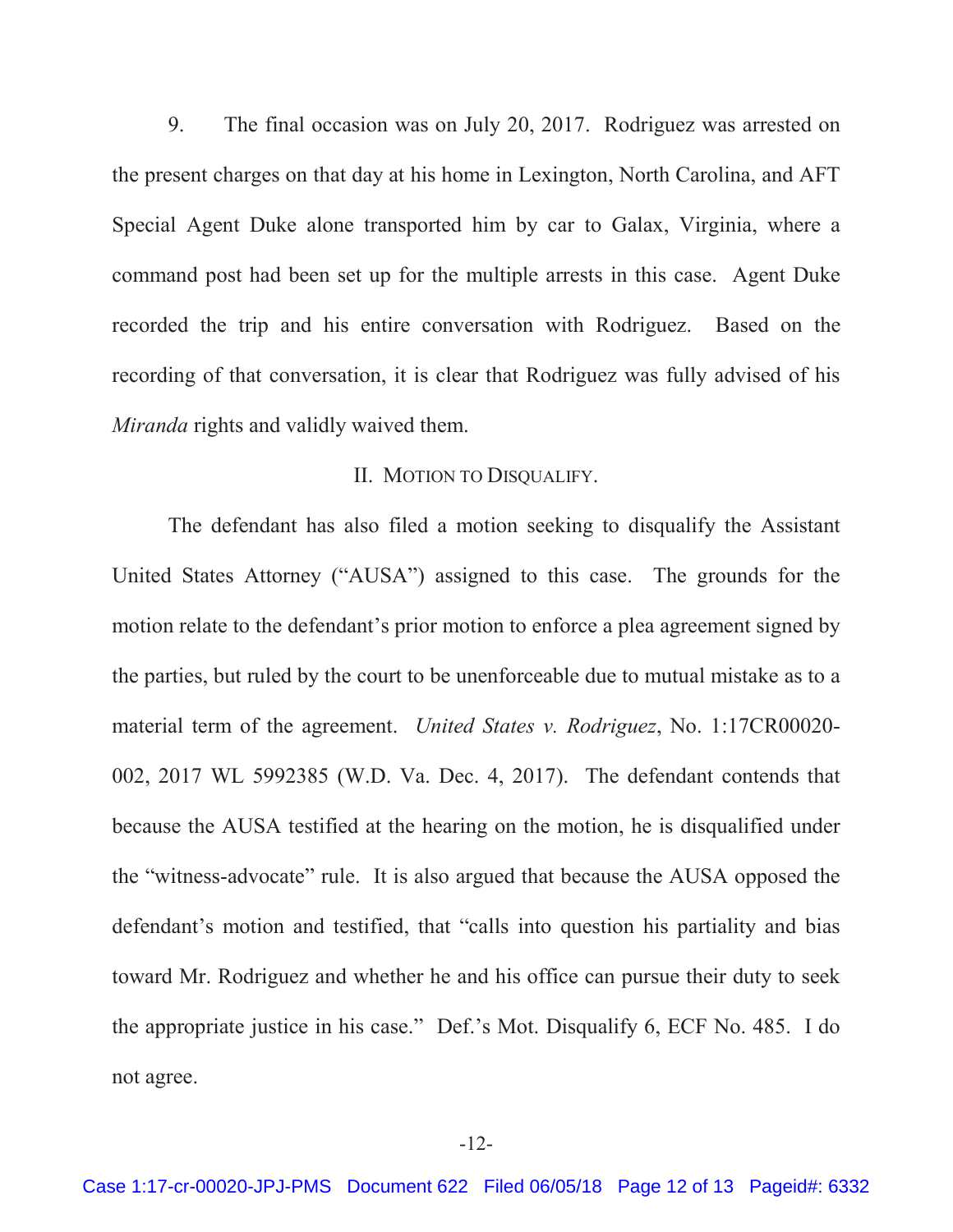9. The final occasion was on July 20, 2017. Rodriguez was arrested on the present charges on that day at his home in Lexington, North Carolina, and AFT Special Agent Duke alone transported him by car to Galax, Virginia, where a command post had been set up for the multiple arrests in this case. Agent Duke recorded the trip and his entire conversation with Rodriguez. Based on the recording of that conversation, it is clear that Rodriguez was fully advised of his *Miranda* rights and validly waived them.

# II. MOTION TO DISQUALIFY.

The defendant has also filed a motion seeking to disqualify the Assistant United States Attorney ("AUSA") assigned to this case. The grounds for the motion relate to the defendant's prior motion to enforce a plea agreement signed by the parties, but ruled by the court to be unenforceable due to mutual mistake as to a material term of the agreement. *United States v. Rodriguez*, No. 1:17CR00020- 002, 2017 WL 5992385 (W.D. Va. Dec. 4, 2017). The defendant contends that because the AUSA testified at the hearing on the motion, he is disqualified under the "witness-advocate" rule. It is also argued that because the AUSA opposed the defendant's motion and testified, that "calls into question his partiality and bias toward Mr. Rodriguez and whether he and his office can pursue their duty to seek the appropriate justice in his case." Def.'s Mot. Disqualify 6, ECF No. 485. I do not agree.